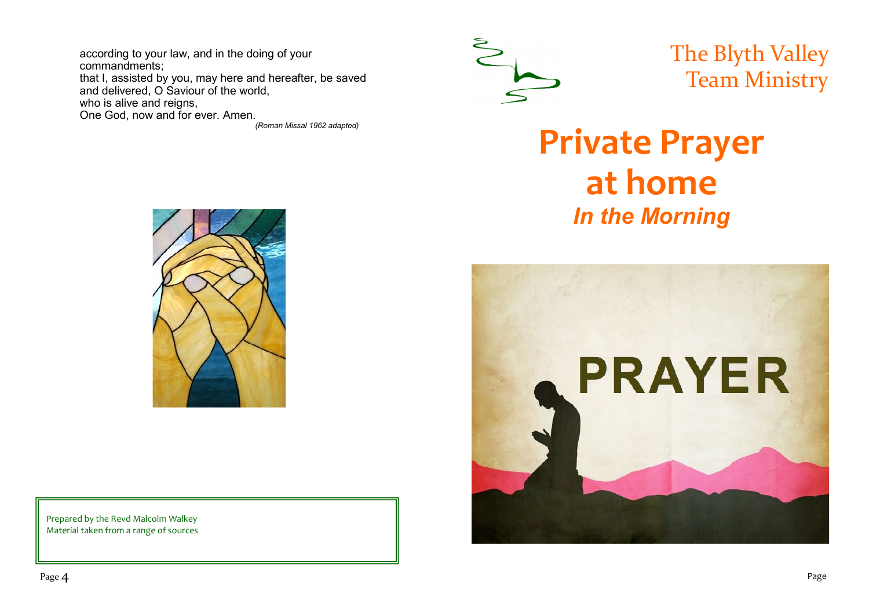according to your law, and in the doing of your commandments; that I, assisted by you, may here and hereafter, be saved and delivered, O Saviour of the world, who is alive and reigns, One God, now and for ever. Amen.

*(Roman Missal 1962 adapted)*



The Blyth Valley Team Ministry

# **Private Prayer at home** *In the Morning*





Prepared by the Revd Malcolm Walkey Material taken from a range of sources